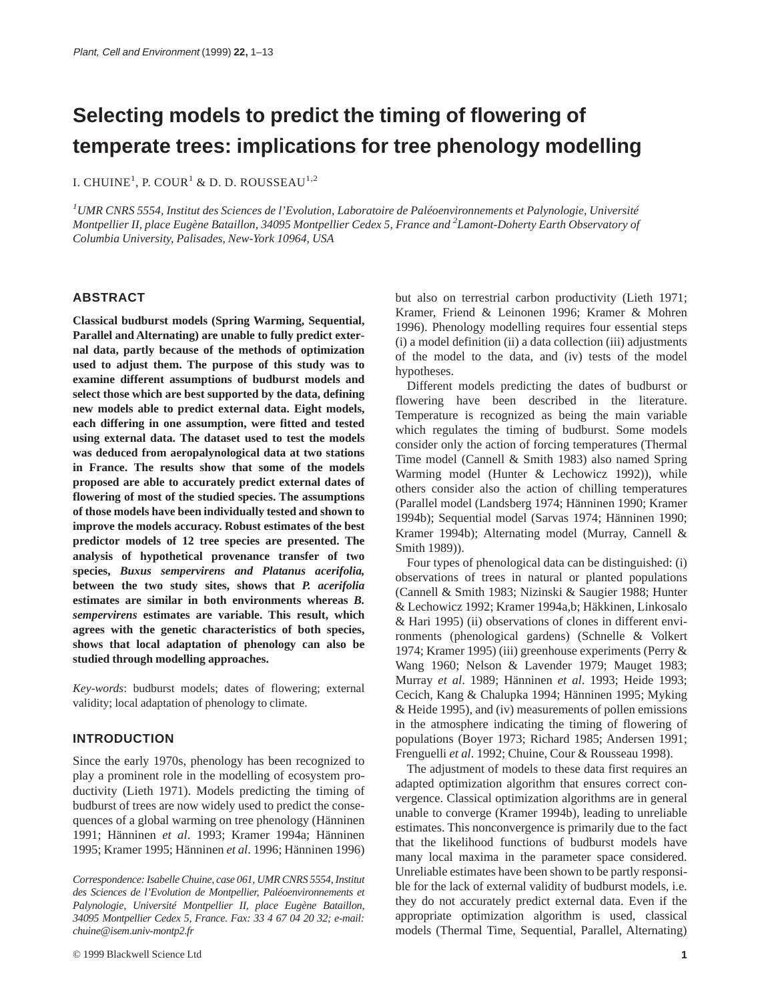# **Selecting models to predict the timing of flowering of temperate trees: implications for tree phenology modelling**

I. CHUINE<sup>1</sup>, P. COUR<sup>1</sup> & D. D. ROUSSEAU<sup>1,2</sup>

*1 UMR CNRS 5554, Institut des Sciences de l'Evolution, Laboratoire de Paléoenvironnements et Palynologie, Université Montpellier II, place Eugène Bataillon, 34095 Montpellier Cedex 5, France and 2 Lamont-Doherty Earth Observatory of Columbia University, Palisades, New-York 10964, USA*

## **ABSTRACT**

**Classical budburst models (Spring Warming, Sequential, Parallel and Alternating) are unable to fully predict external data, partly because of the methods of optimization used to adjust them. The purpose of this study was to examine different assumptions of budburst models and select those which are best supported by the data, defining new models able to predict external data. Eight models, each differing in one assumption, were fitted and tested using external data. The dataset used to test the models was deduced from aeropalynological data at two stations in France. The results show that some of the models proposed are able to accurately predict external dates of flowering of most of the studied species. The assumptions of those models have been individually tested and shown to improve the models accuracy. Robust estimates of the best predictor models of 12 tree species are presented. The analysis of hypothetical provenance transfer of two species,** *Buxus sempervirens and Platanus acerifolia,* **between the two study sites, shows that** *P. acerifolia* **estimates are similar in both environments whereas** *B. sempervirens* **estimates are variable. This result, which agrees with the genetic characteristics of both species, shows that local adaptation of phenology can also be studied through modelling approaches.**

*Key-words*: budburst models; dates of flowering; external validity; local adaptation of phenology to climate.

# **INTRODUCTION**

Since the early 1970s, phenology has been recognized to play a prominent role in the modelling of ecosystem productivity (Lieth 1971). Models predicting the timing of budburst of trees are now widely used to predict the consequences of a global warming on tree phenology (Hänninen 1991; Hänninen *et al*. 1993; Kramer 1994a; Hänninen 1995; Kramer 1995; Hänninen *et al*. 1996; Hänninen 1996)

*Correspondence: Isabelle Chuine, case 061, UMR CNRS 5554, Institut des Sciences de l'Evolution de Montpellier, Paléoenvironnements et Palynologie, Université Montpellier II, place Eugène Bataillon, 34095 Montpellier Cedex 5, France. Fax: 33 4 67 04 20 32; e-mail: chuine@isem*.*univ-montp2*.*fr*

but also on terrestrial carbon productivity (Lieth 1971; Kramer, Friend & Leinonen 1996; Kramer & Mohren 1996). Phenology modelling requires four essential steps (i) a model definition (ii) a data collection (iii) adjustments of the model to the data, and (iv) tests of the model hypotheses.

Different models predicting the dates of budburst or flowering have been described in the literature. Temperature is recognized as being the main variable which regulates the timing of budburst. Some models consider only the action of forcing temperatures (Thermal Time model (Cannell & Smith 1983) also named Spring Warming model (Hunter & Lechowicz 1992)), while others consider also the action of chilling temperatures (Parallel model (Landsberg 1974; Hänninen 1990; Kramer 1994b); Sequential model (Sarvas 1974; Hänninen 1990; Kramer 1994b); Alternating model (Murray, Cannell & Smith 1989)).

Four types of phenological data can be distinguished: (i) observations of trees in natural or planted populations (Cannell & Smith 1983; Nizinski & Saugier 1988; Hunter & Lechowicz 1992; Kramer 1994a,b; Häkkinen, Linkosalo & Hari 1995) (ii) observations of clones in different environments (phenological gardens) (Schnelle & Volkert 1974; Kramer 1995) (iii) greenhouse experiments (Perry & Wang 1960; Nelson & Lavender 1979; Mauget 1983; Murray *et al*. 1989; Hänninen *et al*. 1993; Heide 1993; Cecich, Kang & Chalupka 1994; Hänninen 1995; Myking & Heide 1995), and (iv) measurements of pollen emissions in the atmosphere indicating the timing of flowering of populations (Boyer 1973; Richard 1985; Andersen 1991; Frenguelli *et al*. 1992; Chuine, Cour & Rousseau 1998).

The adjustment of models to these data first requires an adapted optimization algorithm that ensures correct convergence. Classical optimization algorithms are in general unable to converge (Kramer 1994b), leading to unreliable estimates. This nonconvergence is primarily due to the fact that the likelihood functions of budburst models have many local maxima in the parameter space considered. Unreliable estimates have been shown to be partly responsible for the lack of external validity of budburst models, i.e. they do not accurately predict external data. Even if the appropriate optimization algorithm is used, classical models (Thermal Time, Sequential, Parallel, Alternating)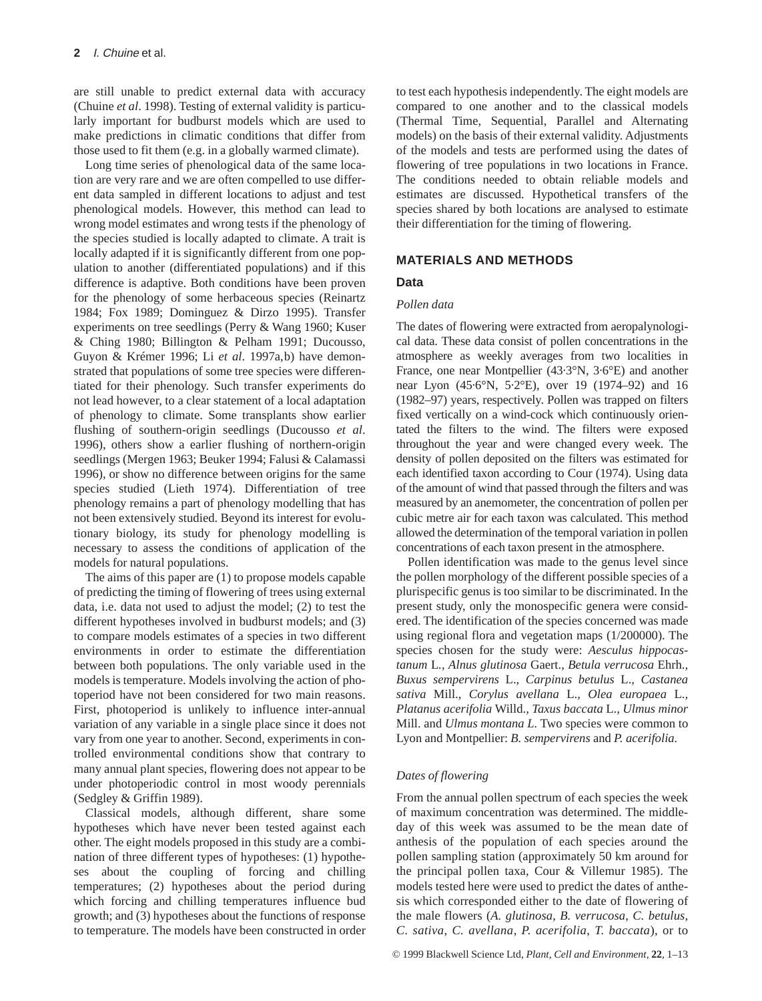are still unable to predict external data with accuracy (Chuine *et al*. 1998). Testing of external validity is particularly important for budburst models which are used to make predictions in climatic conditions that differ from those used to fit them (e.g. in a globally warmed climate).

Long time series of phenological data of the same location are very rare and we are often compelled to use different data sampled in different locations to adjust and test phenological models. However, this method can lead to wrong model estimates and wrong tests if the phenology of the species studied is locally adapted to climate. A trait is locally adapted if it is significantly different from one population to another (differentiated populations) and if this difference is adaptive. Both conditions have been proven for the phenology of some herbaceous species (Reinartz 1984; Fox 1989; Dominguez & Dirzo 1995). Transfer experiments on tree seedlings (Perry & Wang 1960; Kuser & Ching 1980; Billington & Pelham 1991; Ducousso, Guyon & Krémer 1996; Li *et al*. 1997a,b) have demonstrated that populations of some tree species were differentiated for their phenology. Such transfer experiments do not lead however, to a clear statement of a local adaptation of phenology to climate. Some transplants show earlier flushing of southern-origin seedlings (Ducousso *et al*. 1996), others show a earlier flushing of northern-origin seedlings (Mergen 1963; Beuker 1994; Falusi & Calamassi 1996), or show no difference between origins for the same species studied (Lieth 1974). Differentiation of tree phenology remains a part of phenology modelling that has not been extensively studied. Beyond its interest for evolutionary biology, its study for phenology modelling is necessary to assess the conditions of application of the models for natural populations.

The aims of this paper are (1) to propose models capable of predicting the timing of flowering of trees using external data, i.e. data not used to adjust the model; (2) to test the different hypotheses involved in budburst models; and (3) to compare models estimates of a species in two different environments in order to estimate the differentiation between both populations. The only variable used in the models is temperature. Models involving the action of photoperiod have not been considered for two main reasons. First, photoperiod is unlikely to influence inter-annual variation of any variable in a single place since it does not vary from one year to another. Second, experiments in controlled environmental conditions show that contrary to many annual plant species, flowering does not appear to be under photoperiodic control in most woody perennials (Sedgley & Griffin 1989).

Classical models, although different, share some hypotheses which have never been tested against each other. The eight models proposed in this study are a combination of three different types of hypotheses: (1) hypotheses about the coupling of forcing and chilling temperatures; (2) hypotheses about the period during which forcing and chilling temperatures influence bud growth; and (3) hypotheses about the functions of response to temperature. The models have been constructed in order

to test each hypothesis independently. The eight models are compared to one another and to the classical models (Thermal Time, Sequential, Parallel and Alternating models) on the basis of their external validity. Adjustments of the models and tests are performed using the dates of flowering of tree populations in two locations in France. The conditions needed to obtain reliable models and estimates are discussed. Hypothetical transfers of the species shared by both locations are analysed to estimate their differentiation for the timing of flowering.

# **MATERIALS AND METHODS**

# **Data**

## *Pollen data*

The dates of flowering were extracted from aeropalynological data. These data consist of pollen concentrations in the atmosphere as weekly averages from two localities in France, one near Montpellier (43·3°N, 3·6°E) and another near Lyon (45·6°N, 5·2°E), over 19 (1974–92) and 16 (1982–97) years, respectively. Pollen was trapped on filters fixed vertically on a wind-cock which continuously orientated the filters to the wind. The filters were exposed throughout the year and were changed every week. The density of pollen deposited on the filters was estimated for each identified taxon according to Cour (1974). Using data of the amount of wind that passed through the filters and was measured by an anemometer, the concentration of pollen per cubic metre air for each taxon was calculated. This method allowed the determination of the temporal variation in pollen concentrations of each taxon present in the atmosphere.

Pollen identification was made to the genus level since the pollen morphology of the different possible species of a plurispecific genus is too similar to be discriminated. In the present study, only the monospecific genera were considered. The identification of the species concerned was made using regional flora and vegetation maps (1/200000). The species chosen for the study were: *Aesculus hippocastanum* L*.*, *Alnus glutinosa* Gaert., *Betula verrucosa* Ehrh.*, Buxus sempervirens* L.*, Carpinus betulus* L.*, Castanea sativa* Mill.*, Corylus avellana* L.*, Olea europaea* L.*, Platanus acerifolia* Willd.*, Taxus baccata* L.*, Ulmus minor* Mill. and *Ulmus montana L.* Two species were common to Lyon and Montpellier: *B. sempervirens* and *P. acerifolia.*

# *Dates of flowering*

From the annual pollen spectrum of each species the week of maximum concentration was determined. The middleday of this week was assumed to be the mean date of anthesis of the population of each species around the pollen sampling station (approximately 50 km around for the principal pollen taxa, Cour & Villemur 1985). The models tested here were used to predict the dates of anthesis which corresponded either to the date of flowering of the male flowers (*A. glutinosa*, *B. verrucosa*, *C. betulus*, *C. sativa*, *C. avellana*, *P. acerifolia*, *T. baccata*), or to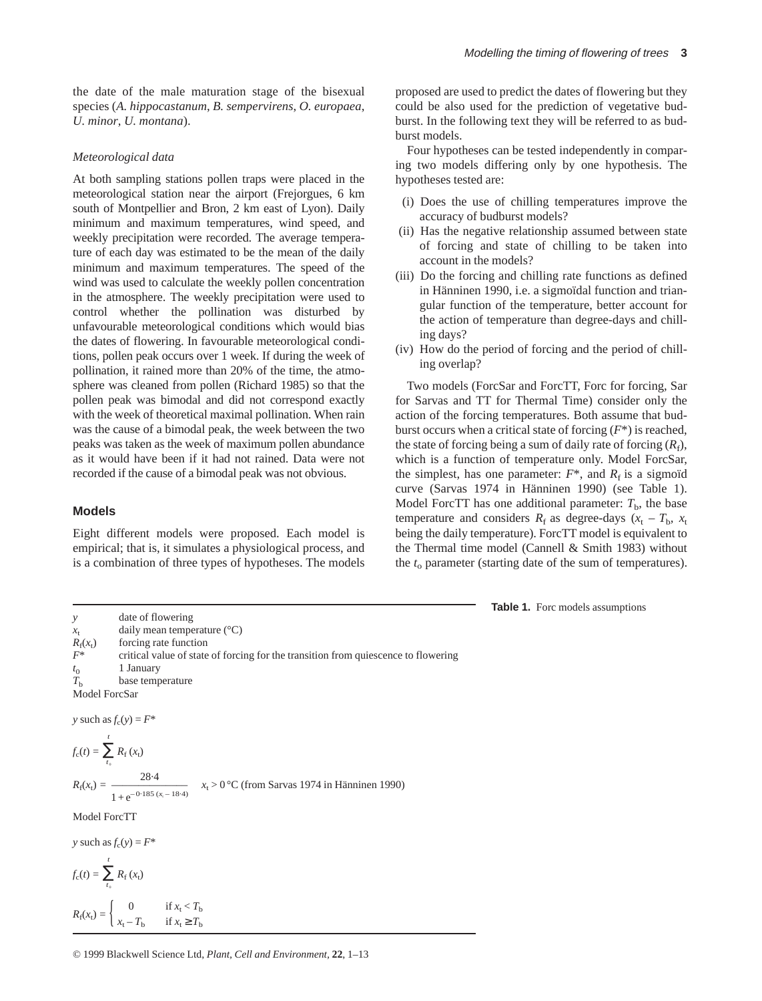the date of the male maturation stage of the bisexual species (*A. hippocastanum*, *B. sempervirens*, *O. europaea*, *U. minor*, *U. montana*).

## *Meteorological data*

At both sampling stations pollen traps were placed in the meteorological station near the airport (Frejorgues, 6 km south of Montpellier and Bron, 2 km east of Lyon). Daily minimum and maximum temperatures, wind speed, and weekly precipitation were recorded. The average temperature of each day was estimated to be the mean of the daily minimum and maximum temperatures. The speed of the wind was used to calculate the weekly pollen concentration in the atmosphere. The weekly precipitation were used to control whether the pollination was disturbed by unfavourable meteorological conditions which would bias the dates of flowering. In favourable meteorological conditions, pollen peak occurs over 1 week. If during the week of pollination, it rained more than 20% of the time, the atmosphere was cleaned from pollen (Richard 1985) so that the pollen peak was bimodal and did not correspond exactly with the week of theoretical maximal pollination. When rain was the cause of a bimodal peak, the week between the two peaks was taken as the week of maximum pollen abundance as it would have been if it had not rained. Data were not recorded if the cause of a bimodal peak was not obvious.

## **Models**

Eight different models were proposed. Each model is empirical; that is, it simulates a physiological process, and is a combination of three types of hypotheses. The models proposed are used to predict the dates of flowering but they could be also used for the prediction of vegetative budburst. In the following text they will be referred to as budburst models.

Four hypotheses can be tested independently in comparing two models differing only by one hypothesis. The hypotheses tested are:

- (i) Does the use of chilling temperatures improve the accuracy of budburst models?
- i(ii) Has the negative relationship assumed between state of forcing and state of chilling to be taken into account in the models?
- (iii) Do the forcing and chilling rate functions as defined in Hänninen 1990, i.e. a sigmoïdal function and triangular function of the temperature, better account for the action of temperature than degree-days and chilling days?
- (iv) How do the period of forcing and the period of chilling overlap?

Two models (ForcSar and ForcTT, Forc for forcing, Sar for Sarvas and TT for Thermal Time) consider only the action of the forcing temperatures. Both assume that budburst occurs when a critical state of forcing (*F*\*) is reached, the state of forcing being a sum of daily rate of forcing  $(R_f)$ , which is a function of temperature only. Model ForcSar, the simplest, has one parameter:  $F^*$ , and  $R_f$  is a sigmoïd curve (Sarvas 1974 in Hänninen 1990) (see Table 1). Model ForcTT has one additional parameter:  $T<sub>b</sub>$ , the base temperature and considers  $R_f$  as degree-days  $(x_t - T_b, x_t)$ being the daily temperature). ForcTT model is equivalent to the Thermal time model (Cannell & Smith 1983) without the  $t_0$  parameter (starting date of the sum of temperatures).

**Table 1.** Forc models assumptions

 $R_f(x_t)$ <br> $F^*$ ) forcing rate function critical value of state of forcing for the transition from quiescence to flowering  $t_0$  1 January<br> $T_b$  base temp **base** temperature Model ForcSar *y* such as  $f_c(y) = F^*$  $f_c(t) = \sum_{t_0}^{t} R_f(x_t)$  $R_f(x_t) = \frac{28.4}{1 + e^{-0.185 (x_t - 18.4)}}$   $x_t > 0$  °C (from Sarvas 1974 in Hänninen 1990) Model ForcTT

*y* such as  $f_c(y) = F^*$ 

$$
f_{\rm c}(t) = \sum_{t_{\rm o}}^{t} R_{\rm f}(x_{\rm t})
$$

$$
R_{\rm f}(x_{\rm t}) = \begin{cases} 0 & \text{if } x_{\rm t} < T_{\rm b} \\ x_{\rm t} - T_{\rm b} & \text{if } x_{\rm t} \ge T_{\rm b} \end{cases}
$$

*y* date of flowering

 $x_t$  daily mean temperature ( ${}^{\circ}$ C)

© 1999 Blackwell Science Ltd, *Plant, Cell and Environment,* **22**, 1–13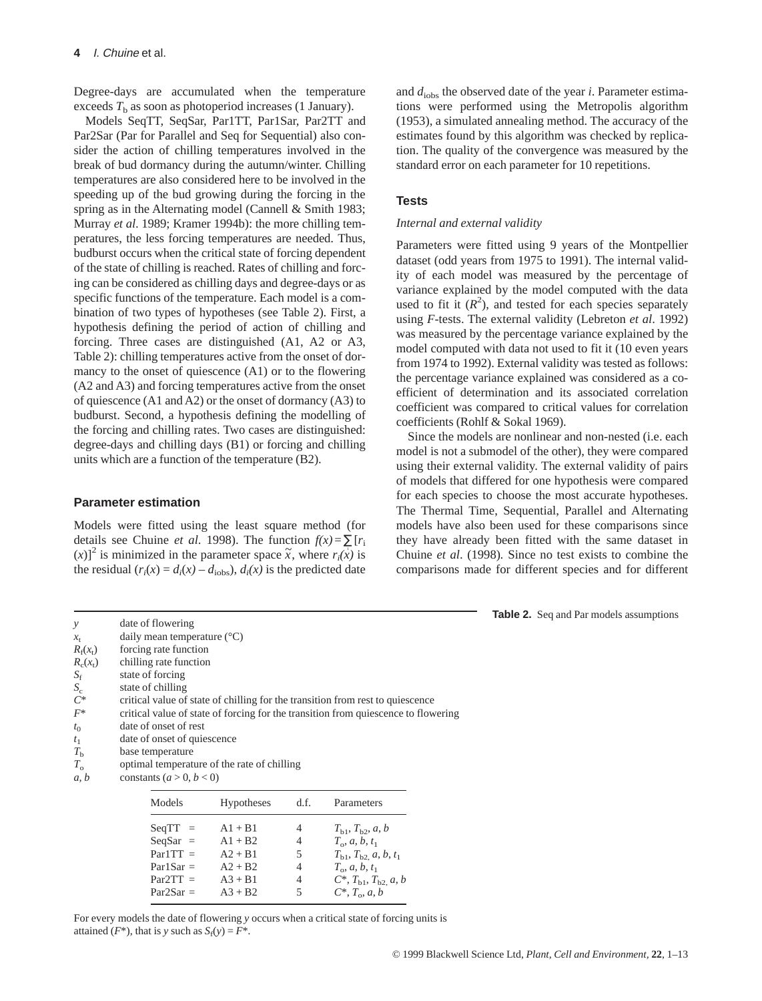Degree-days are accumulated when the temperature exceeds  $T<sub>b</sub>$  as soon as photoperiod increases (1 January).

Models SeqTT, SeqSar, Par1TT, Par1Sar, Par2TT and Par2Sar (Par for Parallel and Seq for Sequential) also consider the action of chilling temperatures involved in the break of bud dormancy during the autumn/winter. Chilling temperatures are also considered here to be involved in the speeding up of the bud growing during the forcing in the spring as in the Alternating model (Cannell & Smith 1983; Murray *et al*. 1989; Kramer 1994b): the more chilling temperatures, the less forcing temperatures are needed. Thus, budburst occurs when the critical state of forcing dependent of the state of chilling is reached. Rates of chilling and forcing can be considered as chilling days and degree-days or as specific functions of the temperature. Each model is a combination of two types of hypotheses (see Table 2). First, a hypothesis defining the period of action of chilling and forcing. Three cases are distinguished (A1, A2 or A3, Table 2): chilling temperatures active from the onset of dormancy to the onset of quiescence (A1) or to the flowering (A2 and A3) and forcing temperatures active from the onset of quiescence (A1 and A2) or the onset of dormancy (A3) to budburst. Second, a hypothesis defining the modelling of the forcing and chilling rates. Two cases are distinguished: degree-days and chilling days (B1) or forcing and chilling units which are a function of the temperature (B2).

## **Parameter estimation**

Models were fitted using the least square method (for details see Chuine *et al.* 1998). The function  $f(x) = \sum_i [r_i]$  $(x)$ <sup>2</sup> is minimized in the parameter space  $\tilde{x}$ , where  $r_i(x)$  is the residual  $(r_i(x)) = d_i(x) - d_{\text{iobs}}$ ,  $d_i(x)$  is the predicted date

and *d*iobs the observed date of the year *i*. Parameter estimations were performed using the Metropolis algorithm (1953), a simulated annealing method. The accuracy of the estimates found by this algorithm was checked by replication. The quality of the convergence was measured by the standard error on each parameter for 10 repetitions.

# **Tests**

# *Internal and external validity*

Parameters were fitted using 9 years of the Montpellier dataset (odd years from 1975 to 1991). The internal validity of each model was measured by the percentage of variance explained by the model computed with the data used to fit it  $(R^2)$ , and tested for each species separately using *F*-tests. The external validity (Lebreton *et al*. 1992) was measured by the percentage variance explained by the model computed with data not used to fit it (10 even years from 1974 to 1992). External validity was tested as follows: the percentage variance explained was considered as a coefficient of determination and its associated correlation coefficient was compared to critical values for correlation coefficients (Rohlf & Sokal 1969).

Since the models are nonlinear and non-nested (i.e. each model is not a submodel of the other), they were compared using their external validity. The external validity of pairs of models that differed for one hypothesis were compared for each species to choose the most accurate hypotheses. The Thermal Time, Sequential, Parallel and Alternating models have also been used for these comparisons since they have already been fitted with the same dataset in Chuine *et al*. (1998)*.* Since no test exists to combine the comparisons made for different species and for different

**Table 2.** Seq and Par models assumptions

| $\mathcal{V}$  | date of flowering                                                                  |  |
|----------------|------------------------------------------------------------------------------------|--|
| $x_{t}$        | daily mean temperature $(^{\circ}C)$                                               |  |
| $R_f(x_t)$     | forcing rate function                                                              |  |
| $R_c(x_t)$     | chilling rate function                                                             |  |
| $S_{\rm f}$    | state of forcing                                                                   |  |
| $S_{\rm c}$    | state of chilling                                                                  |  |
| $C^*$          | critical value of state of chilling for the transition from rest to quiescence     |  |
| $F^*$          | critical value of state of forcing for the transition from quiescence to flowering |  |
| $t_{0}$        | date of onset of rest                                                              |  |
| t <sub>1</sub> | date of onset of quiescence                                                        |  |
| $T_{\rm b}$    | base temperature                                                                   |  |
| $T_{\alpha}$   | optimal temperature of the rate of chilling                                        |  |
| a, b           | constants $(a>0, b<0)$                                                             |  |
|                | Models<br><b>Hypotheses</b><br>d.f.<br>Parameters                                  |  |

| Models      | <b>Hypotheses</b> | d.f. | Parameters                           |
|-------------|-------------------|------|--------------------------------------|
| $SeqTT =$   | $A1 + B1$         | 4    | $T_{\rm b1}, T_{\rm b2}, a, b$       |
| $SeqSar =$  | $A1 + B2$         | 4    | $T_{\alpha}$ , a, b, $t_1$           |
| $Par1TT =$  | $A2 + B1$         | 5    | $T_{b1}$ , $T_{b2}$ , a, b, $t_1$    |
| $Par1Sar =$ | $A2 + B2$         | 4    | $T_{\alpha}$ , a, b, $t_1$           |
| $Par2TT =$  | $A3 + B1$         | 4    | $C^*$ , $T_{h1}$ , $T_{h2}$ , $a, b$ |
| $Par2Sar =$ | $A3 + B2$         | 5    | $C^*, T_{\alpha}, a, b$              |

For every models the date of flowering *y* occurs when a critical state of forcing units is attained  $(F^*)$ , that is *y* such as  $S_f(y) = F^*$ .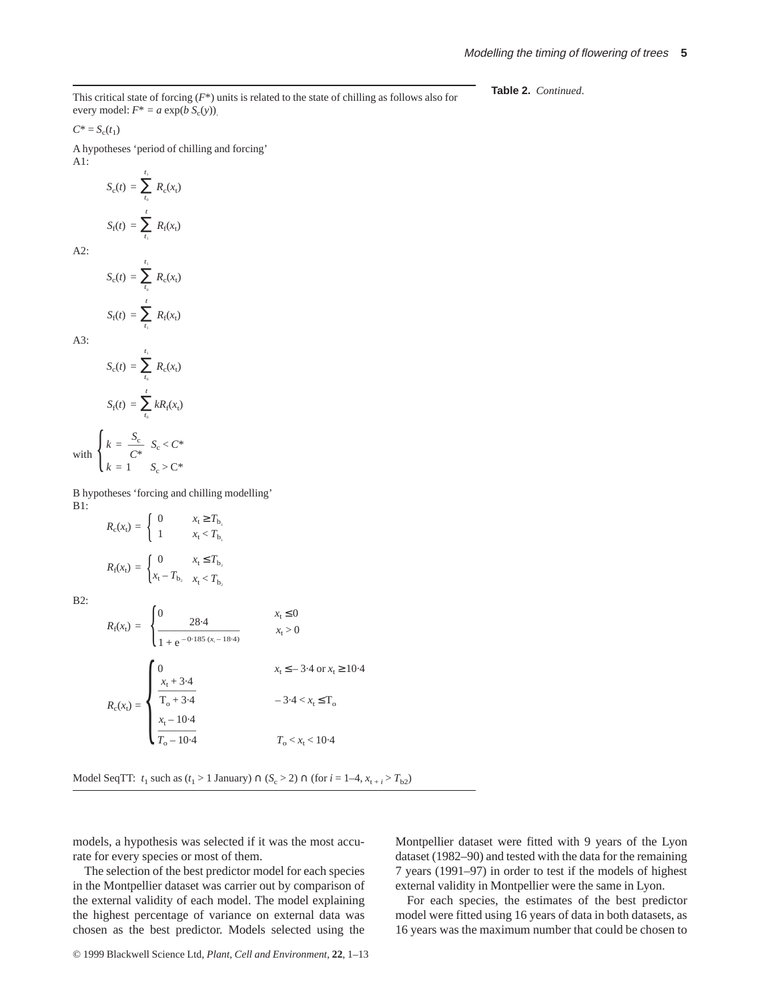This critical state of forcing (*F*\*) units is related to the state of chilling as follows also for every model:  $F^* = a \exp(b S_c(y))$ .

**Table 2.** *Continued*.

 $C^* = S_c(t_1)$ 

A hypotheses 'period of chilling and forcing' A1:

$$
S_c(t) = \sum_{t_0}^{t_1} R_c(x_t)
$$

$$
S_f(t) = \sum_{t_1}^{t} R_f(x_t)
$$

 $A2$ :

$$
S_c(t) = \sum_{t_0}^{t_1} R_c(x_t)
$$

$$
S_f(t) = \sum_{t_1}^{t} R_f(x_t)
$$

 $A3:$ 

$$
S_c(t) = \sum_{t_0}^{t_1} R_c(x_t)
$$

$$
S_f(t) = \sum_{t_0}^{t} kR_f(x_t)
$$
with 
$$
\begin{cases} k = \frac{S_c}{C^*} & S_c < C^* \\ k = 1 & S_c > C^* \end{cases}
$$

B hypotheses 'forcing and chilling modelling' B1:

$$
R_{c}(x_{t}) = \begin{cases} 0 & x_{t} \geq T_{b_{t}} \\ 1 & x_{t} < T_{b_{t}} \end{cases}
$$

$$
R_{f}(x_{t}) = \begin{cases} 0 & x_{t} \leq T_{b_{2}} \\ x_{t} - T_{b_{2}} & x_{t} < T_{b_{2}} \end{cases}
$$

B2:

$$
R_{\rm f}(x_{\rm t}) = \begin{cases} 0 & x_{\rm t} \le 0 \\ \frac{28.4}{1 + e^{-0.185(x_{\rm t} - 18.4)}} & x_{\rm t} > 0 \end{cases}
$$
  

$$
R_{\rm c}(x_{\rm t}) = \begin{cases} 0 & x_{\rm t} \le -3.4 \text{ or } x_{\rm t} \ge 10.4 \\ \frac{x_{\rm t} + 3.4}{T_{\rm o} + 3.4} & -3.4 < x_{\rm t} \le T_{\rm o} \\ \frac{x_{\rm t} - 10.4}{T_{\rm o} - 10.4} & T_{\rm o} < x_{\rm t} < 10.4 \end{cases}
$$

Model SeqTT: *t*<sub>1</sub> such as (*t*<sub>1</sub> > 1 January) ∩ (*S*<sub>c</sub> > 2) ∩ (for *i* = 1–4,  $x_{t+i}$  >  $T_{b2}$ )

models, a hypothesis was selected if it was the most accurate for every species or most of them.

The selection of the best predictor model for each species in the Montpellier dataset was carrier out by comparison of the external validity of each model. The model explaining the highest percentage of variance on external data was chosen as the best predictor. Models selected using the Montpellier dataset were fitted with 9 years of the Lyon dataset (1982–90) and tested with the data for the remaining 7 years (1991–97) in order to test if the models of highest external validity in Montpellier were the same in Lyon.

For each species, the estimates of the best predictor model were fitted using 16 years of data in both datasets, as 16 years was the maximum number that could be chosen to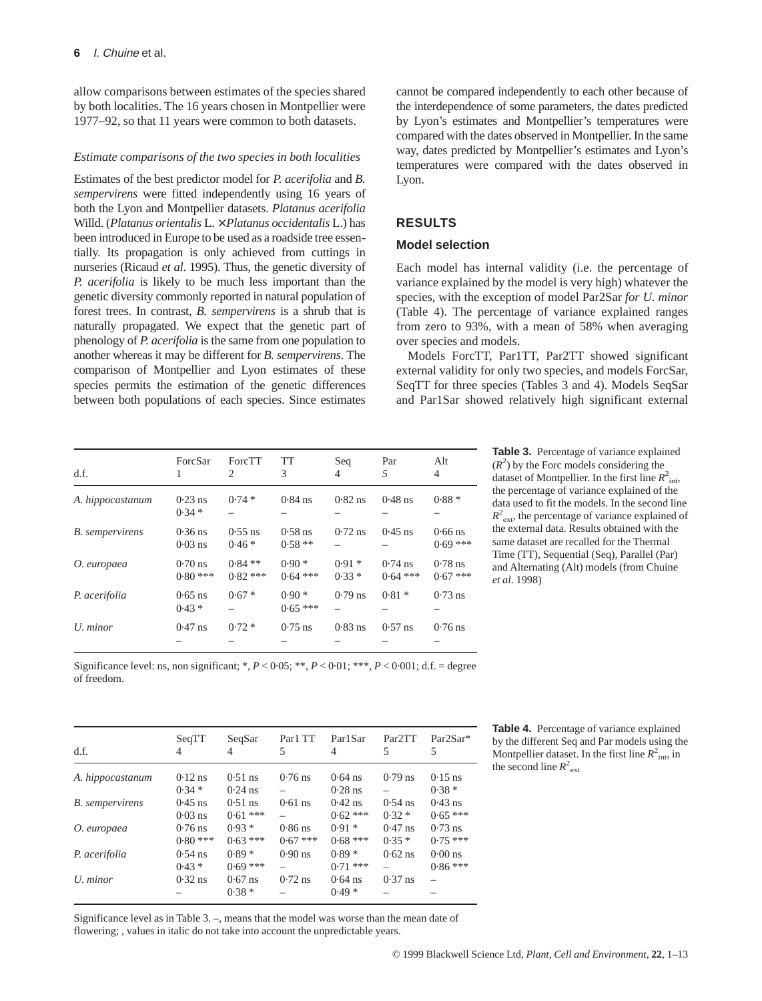allow comparisons between estimates of the species shared by both localities. The 16 years chosen in Montpellier were 1977–92, so that 11 years were common to both datasets.

# *Estimate comparisons of the two species in both localities*

Estimates of the best predictor model for *P. acerifolia* and *B. sempervirens* were fitted independently using 16 years of both the Lyon and Montpellier datasets. *Platanus acerifolia* Willd. (*Platanus orientalis* L. × *Platanus occidentalis* L.) has been introduced in Europe to be used as a roadside tree essentially. Its propagation is only achieved from cuttings in nurseries (Ricaud *et al*. 1995). Thus, the genetic diversity of *P. acerifolia* is likely to be much less important than the genetic diversity commonly reported in natural population of forest trees. In contrast, *B. sempervirens* is a shrub that is naturally propagated. We expect that the genetic part of phenology of *P. acerifolia* is the same from one population to another whereas it may be different for *B. sempervirens*. The comparison of Montpellier and Lyon estimates of these species permits the estimation of the genetic differences between both populations of each species. Since estimates cannot be compared independently to each other because of the interdependence of some parameters, the dates predicted by Lyon's estimates and Montpellier's temperatures were compared with the dates observed in Montpellier. In the same way, dates predicted by Montpellier's estimates and Lyon's temperatures were compared with the dates observed in Lyon.

# **RESULTS**

# **Model selection**

Each model has internal validity (i.e. the percentage of variance explained by the model is very high) whatever the species, with the exception of model Par2Sar *for U. minor* (Table 4). The percentage of variance explained ranges from zero to 93%, with a mean of 58% when averaging over species and models.

Models ForcTT, Par1TT, Par2TT showed significant external validity for only two species, and models ForcSar, SeqTT for three species (Tables 3 and 4). Models SeqSar and Par1Sar showed relatively high significant external

| d.f.                   | ForcSar                | ForcTT<br>$\overline{c}$ | <b>TT</b><br>3        | Seq<br>4           | Par<br>5                | Alt<br>4               |
|------------------------|------------------------|--------------------------|-----------------------|--------------------|-------------------------|------------------------|
| A. hippocastanum       | $0.23$ ns<br>$0.34*$   | $0.74*$                  | $0.84$ ns             | $0.82$ ns          | $0.48$ ns               | $0.88*$                |
| <b>B.</b> sempervirens | $0.36$ ns<br>$0.03$ ns | $0.55$ ns<br>$0.46*$     | $0.58$ ns<br>$0.58**$ | $0.72$ ns          | $0.45$ ns               | $0.66$ ns<br>$0.69***$ |
| O. europaea            | $0.70$ ns<br>$0.80***$ | $0.84**$<br>$0.82***$    | $0.90*$<br>$0.64$ *** | $0.91*$<br>$0.33*$ | $0.74$ ns<br>$0.64$ *** | $0.78$ ns<br>$0.67***$ |
| P. acerifolia          | $0.65$ ns<br>$0.43*$   | $0.67*$                  | $0.90*$<br>$0.65***$  | $0.79$ ns          | $0.81*$                 | $0.73$ ns              |
| $U.$ minor             | $0.47$ ns              | $0.72*$                  | $0.75$ ns             | $0.83$ ns          | $0.57$ ns               | $0.76$ ns              |

**Table 3.** Percentage of variance explained  $(R<sup>2</sup>)$  by the Forc models considering the dataset of Montpellier. In the first line  $R^2_{\text{int}}$ , the percentage of variance explained of the data used to fit the models. In the second line  $R^2$ <sub>ext</sub>, the percentage of variance explained of the external data. Results obtained with the same dataset are recalled for the Thermal Time (TT), Sequential (Seq), Parallel (Par) and Alternating (Alt) models (from Chuine *et al*. 1998)

Significance level: ns, non significant; \*,  $P < 0.05$ ; \*\*,  $P < 0.01$ ; \*\*\*,  $P < 0.001$ ; d.f. = degree of freedom.

| d.f.                   | SeqTT<br>4 | SeqSar<br>4 | Par <sub>1</sub> TT<br>5 | Par1Sar<br>4 | Par <sub>2TT</sub><br>5 | Par <sub>2</sub> Sar <sup>*</sup><br>5 |
|------------------------|------------|-------------|--------------------------|--------------|-------------------------|----------------------------------------|
| A. hippocastanum       | $0.12$ ns  | $0.51$ ns.  | $0.76$ ns                | $0.64$ ns    | $0.79$ ns               | $0.15$ ns                              |
|                        | $0.34*$    | $0.24$ ns   |                          | $0.28$ ns    |                         | $0.38*$                                |
| <b>B.</b> sempervirens | $0.45$ ns  | $0.51$ ns   | $0.61$ ns                | $0.42$ ns    | $0.54$ ns               | $0.43$ ns                              |
|                        | $0.03$ ns  | $0.61***$   |                          | $0.62***$    | $0.32*$                 | $0.65***$                              |
| O. europaea            | $0.76$ ns  | $0.93*$     | $0.86$ ns                | $0.91*$      | $0.47$ ns               | $0.73$ ns                              |
|                        | $0.80***$  | $0.63***$   | $0.67***$                | $0.68***$    | $0.35*$                 | $0.75***$                              |
| P. acerifolia          | $0.54$ ns  | $0.89*$     | $0.90$ ns                | $0.89*$      | $0.62$ ns               | $0.00$ ns                              |
|                        | $0.43*$    | $0.69***$   |                          | $0.71***$    |                         | $0.86***$                              |
| U. minor               | $0.32$ ns  | $0.67$ ns   | $0.72$ ns                | $0.64$ ns    | $0.37$ ns               |                                        |
|                        |            | $0.38*$     |                          | $0.49*$      |                         |                                        |
|                        |            |             |                          |              |                         |                                        |

**Table 4.** Percentage of variance explained by the different Seq and Par models using the Montpellier dataset. In the first line  $R^2_{int}$ , in the second line  $R^2_{ext}$ 

Significance level as in Table 3. –, means that the model was worse than the mean date of flowering; , values in italic do not take into account the unpredictable years.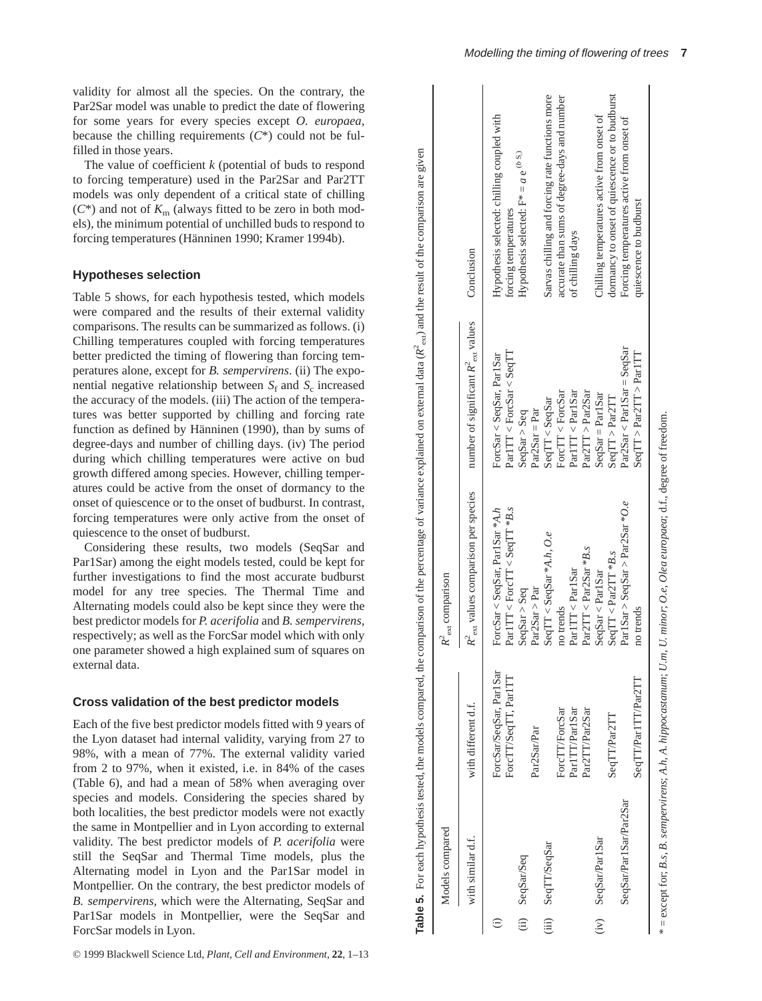validity for almost all the species. On the contrary, the Par2Sar model was unable to predict the date of flowering for some years for every species except *O. europaea*, because the chilling requirements (*C*\*) could not be fulfilled in those years.

The value of coefficient *k* (potential of buds to respond to forcing temperature) used in the Par2Sar and Par2TT models was only dependent of a critical state of chilling  $(C^*)$  and not of  $K_m$  (always fitted to be zero in both models), the minimum potential of unchilled buds to respond to forcing temperatures (Hänninen 1990; Kramer 1994b).

## **Hypotheses selection**

Table 5 shows, for each hypothesis tested, which models were compared and the results of their external validity comparisons. The results can be summarized as follows. (i) Chilling temperatures coupled with forcing temperatures better predicted the timing of flowering than forcing temperatures alone, except for *B. sempervirens*. (ii) The exponential negative relationship between  $S_f$  and  $S_c$  increased the accuracy of the models. (iii) The action of the temperatures was better supported by chilling and forcing rate function as defined by Hänninen (1990), than by sums of degree-days and number of chilling days. (iv) The period during which chilling temperatures were active on bud growth differed among species. However, chilling temperatures could be active from the onset of dormancy to the onset of quiescence or to the onset of budburst. In contrast, forcing temperatures were only active from the onset of quiescence to the onset of budburst.

Considering these results, two models (SeqSar and Par1Sar) among the eight models tested, could be kept for further investigations to find the most accurate budburst model for any tree species. The Thermal Time and Alternating models could also be kept since they were the best predictor models for *P. acerifolia* and *B. sempervirens,* respectively; as well as the ForcSar model which with only one parameter showed a high explained sum of squares on external data.

## **Cross validation of the best predictor models**

Each of the five best predictor models fitted with 9 years of the Lyon dataset had internal validity, varying from 27 to 98%, with a mean of 77%. The external validity varied from 2 to 97%, when it existed, i.e. in 84% of the cases (Table 6), and had a mean of 58% when averaging over species and models. Considering the species shared by both localities, the best predictor models were not exactly the same in Montpellier and in Lyon according to external validity. The best predictor models of *P. acerifolia* were still the SeqSar and Thermal Time models, plus the Alternating model in Lyon and the Par1Sar model in Montpellier. On the contrary, the best predictor models of *B. sempervirens*, which were the Alternating, SeqSar and Par1Sar models in Montpellier, were the SeqSar and ForcSar models in Lyon.

ï

|           | Models compared        |                          | $R_{\text{ext}}^2$ comparison                    |                                          |                                                 |
|-----------|------------------------|--------------------------|--------------------------------------------------|------------------------------------------|-------------------------------------------------|
|           | with similar d.f.      | with different d.f.      | $R_{\text{ext}}^2$ values comparison per species | number of significant $R_{ext}^2$ values | Conclusion                                      |
|           |                        | ForcSar/SeqSar, Par1Sar  | ForcSar < SeqSar, Par1Sar *A.h                   | ForcSar < SeqSar, Par1Sar                | Hypothesis selected: chilling coupled with      |
|           |                        | ForcTT/SeqTT, Par1TT     | Par1TT < ForcTT < $SeqTT*B.s$                    | ParITT < ForCSar < SeqTT                 | forcing temperatures                            |
| $\hat{a}$ | SeqSar/Seq             |                          | SeqSar > Seq                                     | SeqSar > Seq                             | Hypothesis selected: $F^* = a e^{(\theta S_2)}$ |
|           |                        | Par <sub>2</sub> Sar/Par | Par2Sar > Par                                    | $Par2Sar = Par$                          |                                                 |
| (iii)     | SeqTT/SeqSar           |                          | $SeqTT <$ SeqSar *A.h, O.e                       | $SeqTT <$ SeqSar                         | Sarvas chilling and forcing rate functions more |
|           |                        | ForcTT/ForcSar           | no trends                                        | Forc $TT <$ ForcSar                      | accurate than sums of degree-days and number    |
|           |                        | ParlTT/ParlSar           | ParITT < ParISar                                 | ParITT < Par1Sar                         | of chilling days                                |
|           |                        | Par2TT/Par2Sar           | $Par2TT < Par2Sar * B.s$                         | Par2TT > Par2Sar                         |                                                 |
|           | (iv) SeqSarPar1Sar     |                          | SeqSar < ParISar                                 | $SeqSar = Par1Sar$                       | Chilling temperatures active from onset of      |
|           |                        | SeqTT/Par2TT             | SeqTT < $\text{Par2TT} * B$ .s                   | SeqTT > Par2TT                           | dormancy to onset of quiescence or to budburst  |
|           | SeqSar/Par1Sar/Par2Sar |                          | Par1Sar > SeqSar > Par2Sar *O.e                  | $Par2Sar < Par1Sar = SecSar$             | Forcing temperatures active from onset of       |
|           |                        | SeqTT/Par1TT/Par2TT      | no trends                                        | SeqTT > Pat2TT > PartTT                  | quiescence to budburst                          |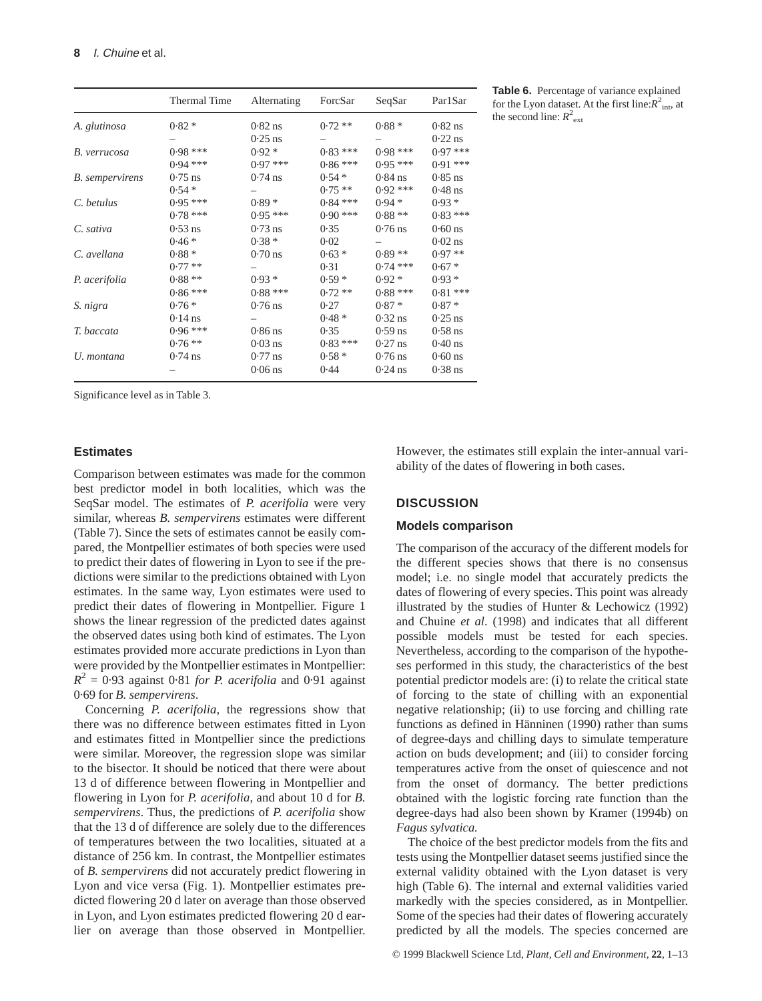|                        | Thermal Time | Alternating | ForcSar   | SeqSar     | Par1Sar   |
|------------------------|--------------|-------------|-----------|------------|-----------|
| A. glutinosa           | $0.82 *$     | $0.82$ ns   | $0.72**$  | $0.88 *$   | $0.82$ ns |
|                        |              | $0.25$ ns   |           |            | $0.22$ ns |
| B. verrucosa           | $0.98***$    | $0.92*$     | $0.83***$ | $0.98***$  | $0.97***$ |
|                        | $0.94$ ***   | $0.97***$   | $0.86***$ | $0.95***$  | $0.91***$ |
| <b>B.</b> sempervirens | $0.75$ ns    | $0.74$ ns   | $0.54*$   | $0.84$ ns  | $0.85$ ns |
|                        | $0.54*$      |             | $0.75**$  | $0.92***$  | $0.48$ ns |
| C. betulus             | $0.95***$    | $0.89*$     | $0.84***$ | $0.94 *$   | $0.93*$   |
|                        | $0.78***$    | $0.95***$   | $0.90***$ | $0.88**$   | $0.83***$ |
| C. sativa              | $0.53$ ns    | $0.73$ ns   | 0.35      | $0.76$ ns  | $0.60$ ns |
|                        | $0.46*$      | $0.38 *$    | 0.02      |            | $0.02$ ns |
| C. avellana            | $0.88 *$     | $0.70$ ns   | $0.63*$   | $0.89**$   | $0.97**$  |
|                        | $0.77**$     |             | 0.31      | $0.74$ *** | $0.67*$   |
| P. acerifolia          | $0.88**$     | $0.93*$     | $0.59*$   | $0.92 *$   | $0.93*$   |
|                        | $0.86***$    | $0.88***$   | $0.72**$  | $0.88***$  | $0.81***$ |
| S. nigra               | $0.76*$      | $0.76$ ns   | 0.27      | $0.87 *$   | $0.87 *$  |
|                        | $0.14$ ns    |             | $0.48*$   | $0.32$ ns  | $0.25$ ns |
| T. baccata             | $0.96***$    | $0.86$ ns   | 0.35      | $0.59$ ns  | $0.58$ ns |
|                        | $0.76**$     | $0.03$ ns   | $0.83***$ | $0.27$ ns  | $0.40$ ns |
| U. montana             | $0.74$ ns    | $0.77$ ns   | $0.58*$   | $0.76$ ns  | $0.60$ ns |
|                        |              | $0.06$ ns   | 0.44      | $0.24$ ns  | $0.38$ ns |
|                        |              |             |           |            |           |

**Table 6.** Percentage of variance explained for the Lyon dataset. At the first line: $R^2_{\text{int}}$ , at the second line:  $R^2_{ext}$ 

Significance level as in Table 3.

# **Estimates**

Comparison between estimates was made for the common best predictor model in both localities, which was the SeqSar model. The estimates of *P. acerifolia* were very similar, whereas *B. sempervirens* estimates were different (Table 7). Since the sets of estimates cannot be easily compared, the Montpellier estimates of both species were used to predict their dates of flowering in Lyon to see if the predictions were similar to the predictions obtained with Lyon estimates. In the same way, Lyon estimates were used to predict their dates of flowering in Montpellier. Figure 1 shows the linear regression of the predicted dates against the observed dates using both kind of estimates. The Lyon estimates provided more accurate predictions in Lyon than were provided by the Montpellier estimates in Montpellier:  $R^2 = 0.93$  against 0.81 *for P. acerifolia* and 0.91 against 0·69 for *B. sempervirens*.

Concerning *P. acerifolia,* the regressions show that there was no difference between estimates fitted in Lyon and estimates fitted in Montpellier since the predictions were similar. Moreover, the regression slope was similar to the bisector. It should be noticed that there were about 13 d of difference between flowering in Montpellier and flowering in Lyon for *P. acerifolia*, and about 10 d for *B. sempervirens*. Thus, the predictions of *P. acerifolia* show that the 13 d of difference are solely due to the differences of temperatures between the two localities, situated at a distance of 256 km. In contrast, the Montpellier estimates of *B. sempervirens* did not accurately predict flowering in Lyon and vice versa (Fig. 1). Montpellier estimates predicted flowering 20 d later on average than those observed in Lyon, and Lyon estimates predicted flowering 20 d earlier on average than those observed in Montpellier.

However, the estimates still explain the inter-annual variability of the dates of flowering in both cases.

# **DISCUSSION**

# **Models comparison**

The comparison of the accuracy of the different models for the different species shows that there is no consensus model; i.e. no single model that accurately predicts the dates of flowering of every species. This point was already illustrated by the studies of Hunter & Lechowicz (1992) and Chuine *et al*. (1998) and indicates that all different possible models must be tested for each species. Nevertheless, according to the comparison of the hypotheses performed in this study, the characteristics of the best potential predictor models are: (i) to relate the critical state of forcing to the state of chilling with an exponential negative relationship; (ii) to use forcing and chilling rate functions as defined in Hänninen (1990) rather than sums of degree-days and chilling days to simulate temperature action on buds development; and (iii) to consider forcing temperatures active from the onset of quiescence and not from the onset of dormancy. The better predictions obtained with the logistic forcing rate function than the degree-days had also been shown by Kramer (1994b) on *Fagus sylvatica.*

The choice of the best predictor models from the fits and tests using the Montpellier dataset seems justified since the external validity obtained with the Lyon dataset is very high (Table 6). The internal and external validities varied markedly with the species considered, as in Montpellier. Some of the species had their dates of flowering accurately predicted by all the models. The species concerned are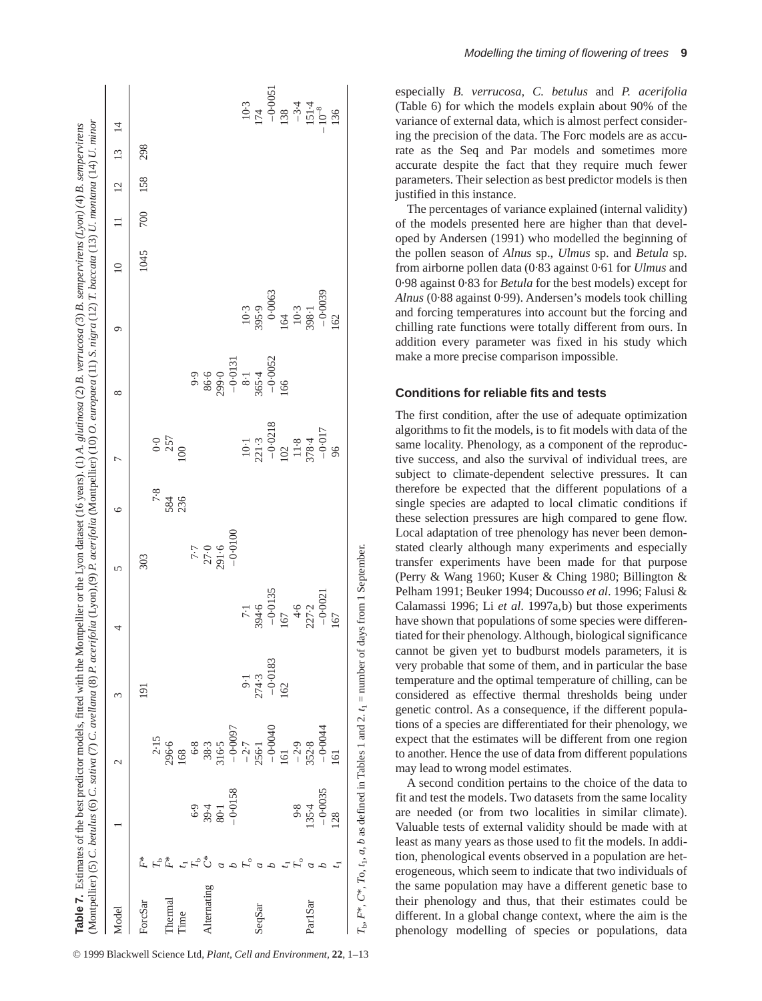| Aodel      |                     | $\mathrel{\sim}$                                            | $\sim$                      | 4                         | 5                    | $\circ$ |                                                                                                                                                  | $^{\circ}$                                           | ᡋ                                                        | $\approx$ |     | $\frac{12}{1}$ | $\frac{13}{2}$ | $\vec{4}$                            |
|------------|---------------------|-------------------------------------------------------------|-----------------------------|---------------------------|----------------------|---------|--------------------------------------------------------------------------------------------------------------------------------------------------|------------------------------------------------------|----------------------------------------------------------|-----------|-----|----------------|----------------|--------------------------------------|
| ForcSar    |                     |                                                             | <u>[6]</u>                  |                           | 303                  |         |                                                                                                                                                  |                                                      |                                                          | 1045      | 700 | 158            | 298            |                                      |
|            |                     | 2.15                                                        |                             |                           |                      | 7.8     | 0.0                                                                                                                                              |                                                      |                                                          |           |     |                |                |                                      |
| hermal     |                     |                                                             |                             |                           |                      | 584     | 257                                                                                                                                              |                                                      |                                                          |           |     |                |                |                                      |
| lime       |                     | 296-6<br>168                                                |                             |                           |                      | 236     | $\overline{0}$                                                                                                                                   |                                                      |                                                          |           |     |                |                |                                      |
|            |                     |                                                             |                             |                           |                      |         |                                                                                                                                                  |                                                      |                                                          |           |     |                |                |                                      |
| lternating |                     |                                                             |                             |                           |                      |         |                                                                                                                                                  |                                                      |                                                          |           |     |                |                |                                      |
|            | $6.301$<br>$6.301$  |                                                             |                             |                           | 7.7<br>27.0<br>291.6 |         |                                                                                                                                                  |                                                      |                                                          |           |     |                |                |                                      |
|            | 0.0158              | 6.8<br>38.3<br>316.5<br>-0.0097<br>-2.7<br>256.1<br>-0.0040 |                             |                           | $-0.0100$            |         |                                                                                                                                                  | 9.9<br>86.6<br>80.0<br>0.0131<br>8.1<br>8.1<br>365.4 |                                                          |           |     |                |                |                                      |
|            |                     |                                                             |                             |                           |                      |         |                                                                                                                                                  |                                                      |                                                          |           |     |                |                | 10.3                                 |
|            |                     |                                                             |                             |                           |                      |         |                                                                                                                                                  |                                                      |                                                          |           |     |                |                | 174                                  |
|            |                     |                                                             | 9.1<br>$274.3$<br>$-0.0183$ | $7.1$<br>394.6<br>-0.0135 |                      |         |                                                                                                                                                  | $-0.0052$                                            |                                                          |           |     |                |                |                                      |
|            |                     | $\overline{61}$                                             | $\mathcal{O}$               | 167                       |                      |         |                                                                                                                                                  | 166                                                  |                                                          |           |     |                |                | $-0.0051$<br>138                     |
|            |                     | $-2.9$                                                      |                             | $4.6$<br>227.2<br>-0.0021 |                      |         | $\begin{array}{l} 10 \cdot 1 \\ 221 \cdot 3 \\ -0 \cdot 0218 \\ 102 \\ 11 \cdot 8 \\ 378 \cdot 4 \\ -0 \cdot 017 \\ -0 \cdot 017 \\ \end{array}$ |                                                      | 10.3<br>395.9<br>0.0063<br>164<br>10.3<br>398.1<br>398.1 |           |     |                |                | $-3.4$<br>151.4<br>-10 <sup>-8</sup> |
| $2ar1S$ ar | $\frac{9.8}{135.4}$ | 352.8                                                       |                             |                           |                      |         |                                                                                                                                                  |                                                      |                                                          |           |     |                |                |                                      |
|            | $-0.0035$           | $-0.0044$                                                   |                             |                           |                      |         |                                                                                                                                                  |                                                      |                                                          |           |     |                |                |                                      |
|            | $\frac{8}{2}$       |                                                             |                             | 167                       |                      |         | 96                                                                                                                                               |                                                      | 162                                                      |           |     |                |                | 136                                  |

especially *B. verrucosa, C. betulus* and *P. acerifolia* (Table 6) for which the models explain about 90% of the variance of external data, which is almost perfect considering the precision of the data. The Forc models are as accurate as the Seq and Par models and sometimes more accurate despite the fact that they require much fewer parameters. Their selection as best predictor models is then justified in this instance.

The percentages of variance explained (internal validity) of the models presented here are higher than that developed by Andersen (1991) who modelled the beginning of the pollen season of *Alnus* sp., *Ulmus* sp. and *Betula* sp. from airborne pollen data (0·83 against 0·61 for *Ulmus* and 0·98 against 0·83 for *Betula* for the best models) except for *Alnus* (0·88 against 0·99). Andersen's models took chilling and forcing temperatures into account but the forcing and chilling rate functions were totally different from ours. In addition every parameter was fixed in his study which make a more precise comparison impossible.

## **Conditions for reliable fits and tests**

The first condition, after the use of adequate optimization algorithms to fit the models, is to fit models with data of the same locality. Phenology, as a component of the reproductive success, and also the survival of individual trees, are subject to climate-dependent selective pressures. It can therefore be expected that the different populations of a single species are adapted to local climatic conditions if these selection pressures are high compared to gene flow. Local adaptation of tree phenology has never been demonstated clearly although many experiments and especially transfer experiments have been made for that purpose (Perry & Wang 1960; Kuser & Ching 1980; Billington & Pelham 1991; Beuker 1994; Ducousso *et al*. 1996; Falusi & Calamassi 1996; Li *et al*. 1997a,b) but those experiments have shown that populations of some species were differentiated for their phenology. Although, biological significance cannot be given yet to budburst models parameters, it is very probable that some of them, and in particular the base temperature and the optimal temperature of chilling, can be considered as effective thermal thresholds being under genetic control. As a consequence, if the different populations of a species are differentiated for their phenology, we expect that the estimates will be different from one region to another. Hence the use of data from different populations may lead to wrong model estimates.

A second condition pertains to the choice of the data to fit and test the models. Two datasets from the same locality are needed (or from two localities in similar climate). Valuable tests of external validity should be made with at least as many years as those used to fit the models. In addition, phenological events observed in a population are heterogeneous, which seem to indicate that two individuals of the same population may have a different genetic base to their phenology and thus, that their estimates could be different. In a global change context, where the aim is the phenology modelling of species or populations, data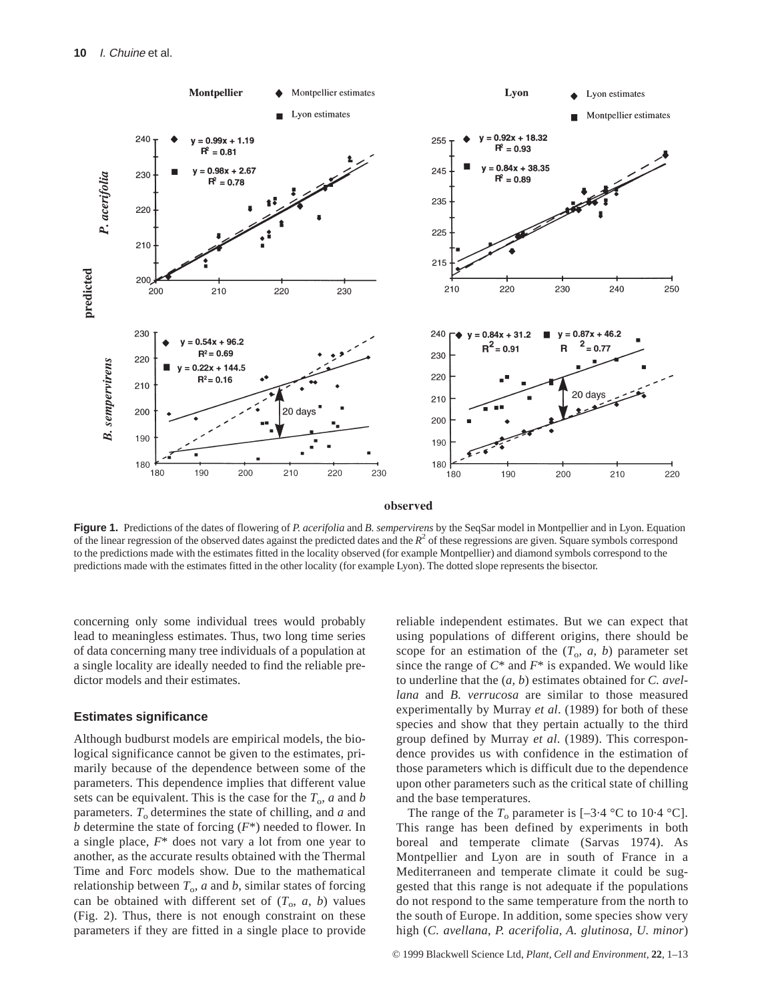

**Figure 1.** Predictions of the dates of flowering of *P. acerifolia* and *B. sempervirens* by the SeqSar model in Montpellier and in Lyon. Equation of the linear regression of the observed dates against the predicted dates and the  $R^2$  of these regressions are given. Square symbols correspond to the predictions made with the estimates fitted in the locality observed (for example Montpellier) and diamond symbols correspond to the predictions made with the estimates fitted in the other locality (for example Lyon). The dotted slope represents the bisector.

concerning only some individual trees would probably lead to meaningless estimates. Thus, two long time series of data concerning many tree individuals of a population at a single locality are ideally needed to find the reliable predictor models and their estimates.

## **Estimates significance**

Although budburst models are empirical models, the biological significance cannot be given to the estimates, primarily because of the dependence between some of the parameters. This dependence implies that different value sets can be equivalent. This is the case for the  $T_0$ , *a* and *b* parameters. *T*<sub>o</sub> determines the state of chilling, and *a* and *b* determine the state of forcing (*F*\*) needed to flower. In a single place, *F*\* does not vary a lot from one year to another, as the accurate results obtained with the Thermal Time and Forc models show. Due to the mathematical relationship between  $T_0$ , *a* and *b*, similar states of forcing can be obtained with different set of  $(T_0, a, b)$  values (Fig. 2). Thus, there is not enough constraint on these parameters if they are fitted in a single place to provide

reliable independent estimates. But we can expect that using populations of different origins, there should be scope for an estimation of the  $(T_o, a, b)$  parameter set since the range of *C*\* and *F*\* is expanded. We would like to underline that the (*a, b*) estimates obtained for *C. avellana* and *B. verrucosa* are similar to those measured experimentally by Murray *et al*. (1989) for both of these species and show that they pertain actually to the third group defined by Murray *et al*. (1989). This correspondence provides us with confidence in the estimation of those parameters which is difficult due to the dependence upon other parameters such as the critical state of chilling and the base temperatures.

The range of the  $T_0$  parameter is  $[-3.4 \degree \text{C}$  to 10.4  $\degree \text{C}$ . This range has been defined by experiments in both boreal and temperate climate (Sarvas 1974). As Montpellier and Lyon are in south of France in a Mediterraneen and temperate climate it could be suggested that this range is not adequate if the populations do not respond to the same temperature from the north to the south of Europe. In addition, some species show very high (*C. avellana*, *P. acerifolia, A. glutinosa, U. minor*)

© 1999 Blackwell Science Ltd, *Plant, Cell and Environment,* **22**, 1–13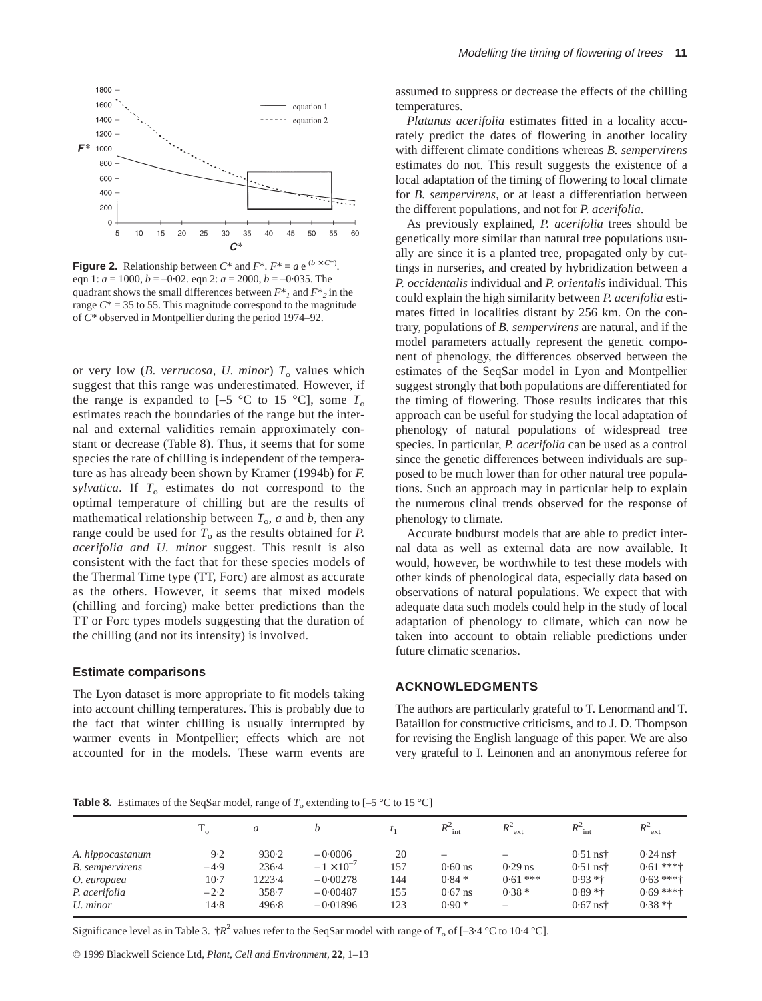

**Figure 2.** Relationship between  $C^*$  and  $F^*$ .  $F^* = a e^{(b \times C^*)}$ . eqn 1: *a* = 1000, *b* = –0·02. eqn 2: *a* = 2000, *b* = –0·035. The quadrant shows the small differences between  $F^*$ <sup>1</sup> and  $F^*$ <sup>2</sup> in the range  $C^* = 35$  to 55. This magnitude correspond to the magnitude of *C*\* observed in Montpellier during the period 1974–92.

or very low  $(B. \; \text{verrucosa}, \; U. \; \text{minor})$   $T_0$  values which suggest that this range was underestimated. However, if the range is expanded to  $[-5 \degree C$  to 15  $\degree C$ ], some  $T_0$ estimates reach the boundaries of the range but the internal and external validities remain approximately constant or decrease (Table 8). Thus, it seems that for some species the rate of chilling is independent of the temperature as has already been shown by Kramer (1994b) for *F. sylvatica*. If *T*<sup>o</sup> estimates do not correspond to the optimal temperature of chilling but are the results of mathematical relationship between  $T<sub>o</sub>$ , a and b, then any range could be used for  $T_0$  as the results obtained for  $P$ . *acerifolia and U. minor* suggest. This result is also consistent with the fact that for these species models of the Thermal Time type (TT, Forc) are almost as accurate as the others. However, it seems that mixed models (chilling and forcing) make better predictions than the TT or Forc types models suggesting that the duration of the chilling (and not its intensity) is involved.

## **Estimate comparisons**

The Lyon dataset is more appropriate to fit models taking into account chilling temperatures. This is probably due to the fact that winter chilling is usually interrupted by warmer events in Montpellier; effects which are not accounted for in the models. These warm events are

assumed to suppress or decrease the effects of the chilling temperatures.

*Platanus acerifolia* estimates fitted in a locality accurately predict the dates of flowering in another locality with different climate conditions whereas *B. sempervirens* estimates do not. This result suggests the existence of a local adaptation of the timing of flowering to local climate for *B. sempervirens*, or at least a differentiation between the different populations, and not for *P. acerifolia*.

As previously explained, *P. acerifolia* trees should be genetically more similar than natural tree populations usually are since it is a planted tree, propagated only by cuttings in nurseries, and created by hybridization between a *P. occidentalis* individual and *P. orientalis* individual. This could explain the high similarity between *P. acerifolia* estimates fitted in localities distant by 256 km. On the contrary, populations of *B. sempervirens* are natural, and if the model parameters actually represent the genetic component of phenology, the differences observed between the estimates of the SeqSar model in Lyon and Montpellier suggest strongly that both populations are differentiated for the timing of flowering. Those results indicates that this approach can be useful for studying the local adaptation of phenology of natural populations of widespread tree species. In particular, *P. acerifolia* can be used as a control since the genetic differences between individuals are supposed to be much lower than for other natural tree populations. Such an approach may in particular help to explain the numerous clinal trends observed for the response of phenology to climate.

Accurate budburst models that are able to predict internal data as well as external data are now available. It would, however, be worthwhile to test these models with other kinds of phenological data, especially data based on observations of natural populations. We expect that with adequate data such models could help in the study of local adaptation of phenology to climate, which can now be taken into account to obtain reliable predictions under future climatic scenarios.

# **ACKNOWLEDGMENTS**

The authors are particularly grateful to T. Lenormand and T. Bataillon for constructive criticisms, and to J. D. Thompson for revising the English language of this paper. We are also very grateful to I. Leinonen and an anonymous referee for

**Table 8.** Estimates of the SeqSar model, range of  $T_0$  extending to  $[-5 \degree C$  to 15  $\degree C]$ 

|                  | $\mathbf{1}_{0}$ | a         |                     |     | $R^2_{\text{int}}$ | $R^2_{ext}$              | $R^2_{\text{int}}$                        | $R^2_{ext}$                               |
|------------------|------------------|-----------|---------------------|-----|--------------------|--------------------------|-------------------------------------------|-------------------------------------------|
| A. hippocastanum | 9.2              | 930.2     | $-0.0006$           | 20  | -                  | $\overline{\phantom{a}}$ | $0.51$ ns <sup><math>\dagger</math></sup> | $0.24$ ns <sup><math>\dagger</math></sup> |
| B. sempervirens  | $-4.9$           | $236-4$   | $-1 \times 10^{-7}$ | 157 | $0.60$ ns          | $0.29$ ns                | $0.51$ ns <sup><math>\dagger</math></sup> | $0.61***$                                 |
| O. europaea      | $10-7$           | 1223.4    | $-0.00278$          | 144 | $0.84*$            | $0.61***$                | $0.93**$                                  | $0.63***$                                 |
| P. acerifolia    | $-2.2$           | $358 - 7$ | $-0.00487$          | 155 | $0.67$ ns          | $0.38*$                  | $0.89**$                                  | $0.69$ ***†                               |
| $U.$ minor       | 14.8             | 496.8     | $-0.01896$          | 123 | $0.90*$            | $\overline{\phantom{a}}$ | $0.67$ ns <sup><math>\dagger</math></sup> | $0.38**$                                  |

Significance level as in Table 3.  $\dagger R^2$  values refer to the SeqSar model with range of  $T_0$  of  $[-3.4 \text{ °C}$  to 10·4  $\text{ °C}$ .

© 1999 Blackwell Science Ltd, *Plant, Cell and Environment,* **22**, 1–13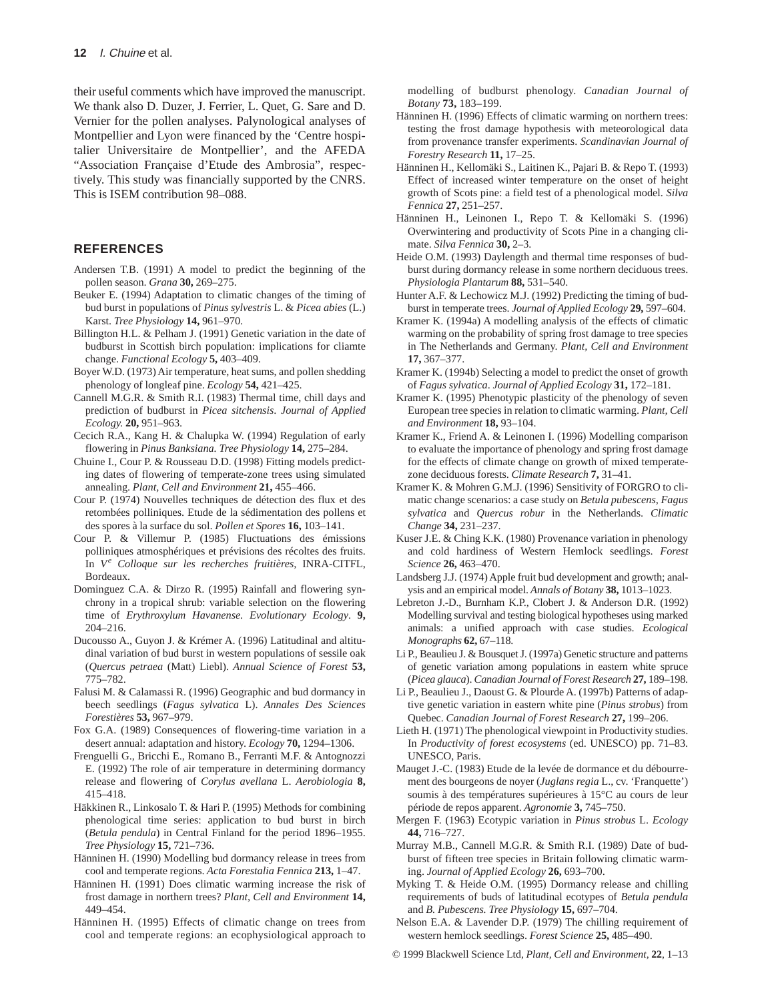their useful comments which have improved the manuscript. We thank also D. Duzer, J. Ferrier, L. Quet, G. Sare and D. Vernier for the pollen analyses. Palynological analyses of Montpellier and Lyon were financed by the 'Centre hospitalier Universitaire de Montpellier', and the AFEDA "Association Française d'Etude des Ambrosia", respectively. This study was financially supported by the CNRS. This is ISEM contribution 98–088.

## **REFERENCES**

- Andersen T.B. (1991) A model to predict the beginning of the pollen season. *Grana* **30,** 269–275.
- Beuker E. (1994) Adaptation to climatic changes of the timing of bud burst in populations of *Pinus sylvestris* L. & *Picea abies* (L.) Karst. *Tree Physiology* **14,** 961–970.
- Billington H.L. & Pelham J. (1991) Genetic variation in the date of budburst in Scottish birch population: implications for cliamte change. *Functional Ecology* **5,** 403–409.
- Boyer W.D. (1973) Air temperature, heat sums, and pollen shedding phenology of longleaf pine. *Ecology* **54,** 421–425.
- Cannell M.G.R. & Smith R.I. (1983) Thermal time, chill days and prediction of budburst in *Picea sitchensis*. *Journal of Applied Ecology.* **20,** 951–963.
- Cecich R.A., Kang H. & Chalupka W. (1994) Regulation of early flowering in *Pinus Banksiana. Tree Physiology* **14,** 275–284.
- Chuine I., Cour P. & Rousseau D.D. (1998) Fitting models predicting dates of flowering of temperate-zone trees using simulated annealing. *Plant, Cell and Environment* **21,** 455–466.
- Cour P. (1974) Nouvelles techniques de détection des flux et des retombées polliniques. Etude de la sédimentation des pollens et des spores à la surface du sol. *Pollen et Spores* **16,** 103–141.
- Cour P. & Villemur P. (1985) Fluctuations des émissions polliniques atmosphériques et prévisions des récoltes des fruits. In *V<sup>e</sup> Colloque sur les recherches fruitières,* INRA-CITFL, Bordeaux.
- Dominguez C.A. & Dirzo R. (1995) Rainfall and flowering synchrony in a tropical shrub: variable selection on the flowering time of *Erythroxylum Havanense. Evolutionary Ecology*. **9,** 204–216.
- Ducousso A., Guyon J. & Krémer A. (1996) Latitudinal and altitudinal variation of bud burst in western populations of sessile oak (*Quercus petraea* (Matt) Liebl). *Annual Science of Forest* **53,** 775–782.
- Falusi M. & Calamassi R. (1996) Geographic and bud dormancy in beech seedlings (*Fagus sylvatica* L). *Annales Des Sciences Forestières* **53,** 967–979.
- Fox G.A. (1989) Consequences of flowering-time variation in a desert annual: adaptation and history. *Ecology* **70,** 1294–1306.
- Frenguelli G., Bricchi E., Romano B., Ferranti M.F. & Antognozzi E. (1992) The role of air temperature in determining dormancy release and flowering of *Corylus avellana* L. *Aerobiologia* **8,** 415–418.
- Häkkinen R., Linkosalo T. & Hari P. (1995) Methods for combining phenological time series: application to bud burst in birch (*Betula pendula*) in Central Finland for the period 1896–1955. *Tree Physiology* **15,** 721–736.
- Hänninen H. (1990) Modelling bud dormancy release in trees from cool and temperate regions. *Acta Forestalia Fennica* **213,** 1–47.
- Hänninen H. (1991) Does climatic warming increase the risk of frost damage in northern trees? *Plant, Cell and Environment* **14,** 449–454.
- Hänninen H. (1995) Effects of climatic change on trees from cool and temperate regions: an ecophysiological approach to

modelling of budburst phenology. *Canadian Journal of Botany* **73,** 183–199.

- Hänninen H. (1996) Effects of climatic warming on northern trees: testing the frost damage hypothesis with meteorological data from provenance transfer experiments. *Scandinavian Journal of Forestry Research* **11,** 17–25.
- Hänninen H., Kellomäki S., Laitinen K., Pajari B. & Repo T. (1993) Effect of increased winter temperature on the onset of height growth of Scots pine: a field test of a phenological model. *Silva Fennica* **27,** 251–257.
- Hänninen H., Leinonen I., Repo T. & Kellomäki S. (1996) Overwintering and productivity of Scots Pine in a changing climate. *Silva Fennica* **30,** 2–3.
- Heide O.M. (1993) Daylength and thermal time responses of budburst during dormancy release in some northern deciduous trees. *Physiologia Plantarum* **88,** 531–540.
- Hunter A.F. & Lechowicz M.J. (1992) Predicting the timing of budburst in temperate trees. *Journal of Applied Ecology* **29,** 597–604.
- Kramer K. (1994a) A modelling analysis of the effects of climatic warming on the probability of spring frost damage to tree species in The Netherlands and Germany. *Plant, Cell and Environment* **17,** 367–377.
- Kramer K. (1994b) Selecting a model to predict the onset of growth of *Fagus sylvatica*. *Journal of Applied Ecology* **31,** 172–181.
- Kramer K. (1995) Phenotypic plasticity of the phenology of seven European tree species in relation to climatic warming. *Plant, Cell and Environment* **18,** 93–104.
- Kramer K., Friend A. & Leinonen I. (1996) Modelling comparison to evaluate the importance of phenology and spring frost damage for the effects of climate change on growth of mixed temperatezone deciduous forests. *Climate Research* **7,** 31–41.
- Kramer K. & Mohren G.M.J. (1996) Sensitivity of FORGRO to climatic change scenarios: a case study on *Betula pubescens*, *Fagus sylvatica* and *Quercus robur* in the Netherlands. *Climatic Change* **34,** 231–237.
- Kuser J.E. & Ching K.K. (1980) Provenance variation in phenology and cold hardiness of Western Hemlock seedlings. *Forest Science* **26,** 463–470.
- Landsberg J.J. (1974) Apple fruit bud development and growth; analysis and an empirical model. *Annals of Botany* **38,** 1013–1023.
- Lebreton J.-D., Burnham K.P., Clobert J. & Anderson D.R. (1992) Modelling survival and testing biological hypotheses using marked animals: a unified approach with case studies. *Ecological Monographs* **62,** 67–118.
- Li P., Beaulieu J. & Bousquet J. (1997a) Genetic structure and patterns of genetic variation among populations in eastern white spruce (*Picea glauca*). *Canadian Journal of Forest Research* **27,** 189–198.
- Li P., Beaulieu J., Daoust G. & Plourde A. (1997b) Patterns of adaptive genetic variation in eastern white pine (*Pinus strobus*) from Quebec. *Canadian Journal of Forest Research* **27,** 199–206.
- Lieth H. (1971) The phenological viewpoint in Productivity studies. In *Productivity of forest ecosystems* (ed. UNESCO) pp. 71–83. UNESCO, Paris.
- Mauget J.-C. (1983) Etude de la levée de dormance et du débourrement des bourgeons de noyer (*Juglans regia* L., cv. 'Franquette') soumis à des températures supérieures à 15°C au cours de leur période de repos apparent. *Agronomie* **3,** 745–750.
- Mergen F. (1963) Ecotypic variation in *Pinus strobus* L. *Ecology* **44,** 716–727.
- Murray M.B., Cannell M.G.R. & Smith R.I. (1989) Date of budburst of fifteen tree species in Britain following climatic warming. *Journal of Applied Ecology* **26,** 693–700.
- Myking T. & Heide O.M. (1995) Dormancy release and chilling requirements of buds of latitudinal ecotypes of *Betula pendula* and *B. Pubescens. Tree Physiology* **15,** 697–704.
- Nelson E.A. & Lavender D.P. (1979) The chilling requirement of western hemlock seedlings. *Forest Science* **25,** 485–490.
- © 1999 Blackwell Science Ltd, *Plant, Cell and Environment,* **22**, 1–13